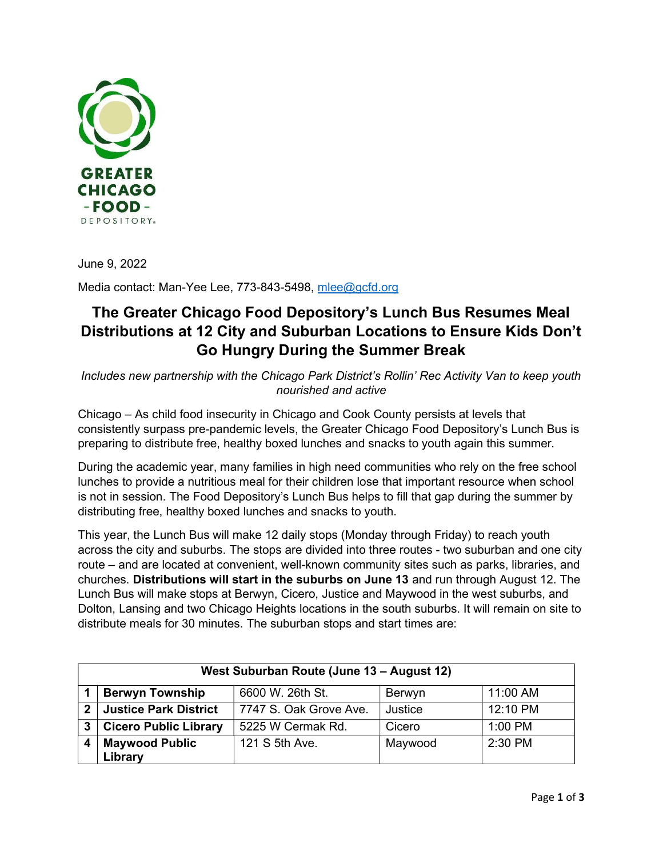

June 9, 2022

Media contact: Man-Yee Lee, 773-843-5498, mlee@gcfd.org

## The Greater Chicago Food Depository's Lunch Bus Resumes Meal Distributions at 12 City and Suburban Locations to Ensure Kids Don't Go Hungry During the Summer Break

Includes new partnership with the Chicago Park District's Rollin' Rec Activity Van to keep youth nourished and active

Chicago – As child food insecurity in Chicago and Cook County persists at levels that consistently surpass pre-pandemic levels, the Greater Chicago Food Depository's Lunch Bus is preparing to distribute free, healthy boxed lunches and snacks to youth again this summer.

During the academic year, many families in high need communities who rely on the free school lunches to provide a nutritious meal for their children lose that important resource when school is not in session. The Food Depository's Lunch Bus helps to fill that gap during the summer by distributing free, healthy boxed lunches and snacks to youth.

This year, the Lunch Bus will make 12 daily stops (Monday through Friday) to reach youth across the city and suburbs. The stops are divided into three routes - two suburban and one city route – and are located at convenient, well-known community sites such as parks, libraries, and churches. Distributions will start in the suburbs on June 13 and run through August 12. The Lunch Bus will make stops at Berwyn, Cicero, Justice and Maywood in the west suburbs, and Dolton, Lansing and two Chicago Heights locations in the south suburbs. It will remain on site to distribute meals for 30 minutes. The suburban stops and start times are:

| West Suburban Route (June 13 - August 12) |                              |                        |         |           |  |  |  |
|-------------------------------------------|------------------------------|------------------------|---------|-----------|--|--|--|
|                                           | <b>Berwyn Township</b>       | 6600 W. 26th St.       | Berwyn  | 11:00 AM  |  |  |  |
| 2                                         | <b>Justice Park District</b> | 7747 S. Oak Grove Ave. | Justice | 12:10 PM  |  |  |  |
| 3                                         | <b>Cicero Public Library</b> | 5225 W Cermak Rd.      | Cicero  | $1:00$ PM |  |  |  |
|                                           | <b>Maywood Public</b>        | 121 S 5th Ave.         | Maywood | $2:30$ PM |  |  |  |
|                                           | Library                      |                        |         |           |  |  |  |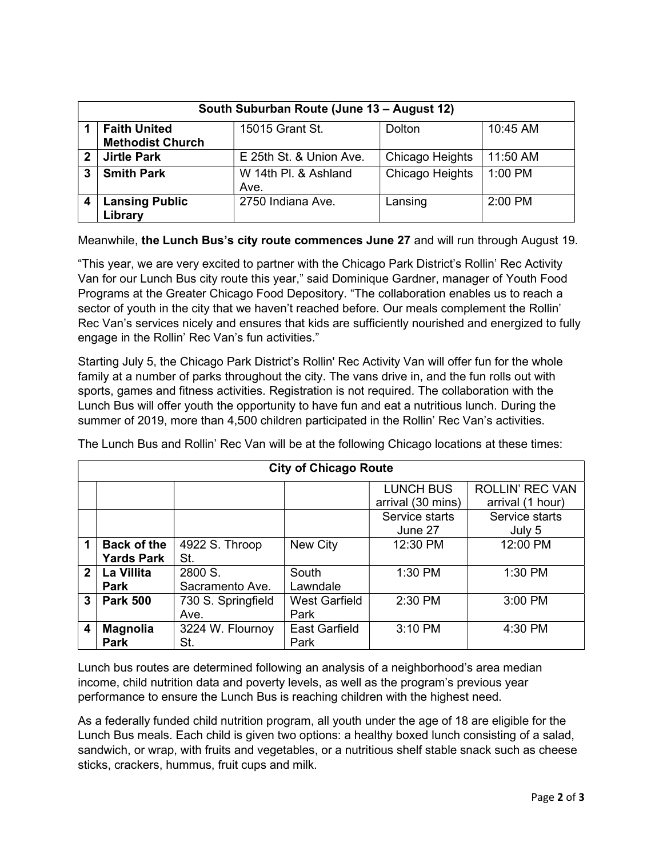| South Suburban Route (June 13 - August 12) |                         |                         |                 |          |  |  |  |
|--------------------------------------------|-------------------------|-------------------------|-----------------|----------|--|--|--|
|                                            | <b>Faith United</b>     | 15015 Grant St.         | <b>Dolton</b>   | 10:45 AM |  |  |  |
|                                            | <b>Methodist Church</b> |                         |                 |          |  |  |  |
| 2                                          | <b>Jirtle Park</b>      | E 25th St. & Union Ave. | Chicago Heights | 11:50 AM |  |  |  |
| 3                                          | <b>Smith Park</b>       | W 14th Pl. & Ashland    | Chicago Heights | 1:00 PM  |  |  |  |
|                                            |                         | Ave.                    |                 |          |  |  |  |
|                                            | <b>Lansing Public</b>   | 2750 Indiana Ave.       | Lansing         | 2:00 PM  |  |  |  |
|                                            | Library                 |                         |                 |          |  |  |  |

Meanwhile, the Lunch Bus's city route commences June 27 and will run through August 19.

"This year, we are very excited to partner with the Chicago Park District's Rollin' Rec Activity Van for our Lunch Bus city route this year," said Dominique Gardner, manager of Youth Food Programs at the Greater Chicago Food Depository. "The collaboration enables us to reach a sector of youth in the city that we haven't reached before. Our meals complement the Rollin' Rec Van's services nicely and ensures that kids are sufficiently nourished and energized to fully engage in the Rollin' Rec Van's fun activities."

Starting July 5, the Chicago Park District's Rollin' Rec Activity Van will offer fun for the whole family at a number of parks throughout the city. The vans drive in, and the fun rolls out with sports, games and fitness activities. Registration is not required. The collaboration with the Lunch Bus will offer youth the opportunity to have fun and eat a nutritious lunch. During the summer of 2019, more than 4,500 children participated in the Rollin' Rec Van's activities.

| <b>City of Chicago Route</b> |                                         |                            |                              |                                       |                                            |  |  |
|------------------------------|-----------------------------------------|----------------------------|------------------------------|---------------------------------------|--------------------------------------------|--|--|
|                              |                                         |                            |                              | <b>LUNCH BUS</b><br>arrival (30 mins) | <b>ROLLIN' REC VAN</b><br>arrival (1 hour) |  |  |
|                              |                                         |                            |                              | Service starts<br>June 27             | Service starts<br>July 5                   |  |  |
| 1                            | <b>Back of the</b><br><b>Yards Park</b> | 4922 S. Throop<br>St.      | New City                     | 12:30 PM                              | 12:00 PM                                   |  |  |
| $\mathbf 2$                  | La Villita<br><b>Park</b>               | 2800 S.<br>Sacramento Ave. | South<br>Lawndale            | 1:30 PM                               | 1:30 PM                                    |  |  |
| 3                            | <b>Park 500</b>                         | 730 S. Springfield<br>Ave. | <b>West Garfield</b><br>Park | 2:30 PM                               | 3:00 PM                                    |  |  |
| 4                            | <b>Magnolia</b><br><b>Park</b>          | 3224 W. Flournoy<br>St.    | <b>East Garfield</b><br>Park | 3:10 PM                               | 4:30 PM                                    |  |  |

The Lunch Bus and Rollin' Rec Van will be at the following Chicago locations at these times:

Lunch bus routes are determined following an analysis of a neighborhood's area median income, child nutrition data and poverty levels, as well as the program's previous year performance to ensure the Lunch Bus is reaching children with the highest need.

As a federally funded child nutrition program, all youth under the age of 18 are eligible for the Lunch Bus meals. Each child is given two options: a healthy boxed lunch consisting of a salad, sandwich, or wrap, with fruits and vegetables, or a nutritious shelf stable snack such as cheese sticks, crackers, hummus, fruit cups and milk.